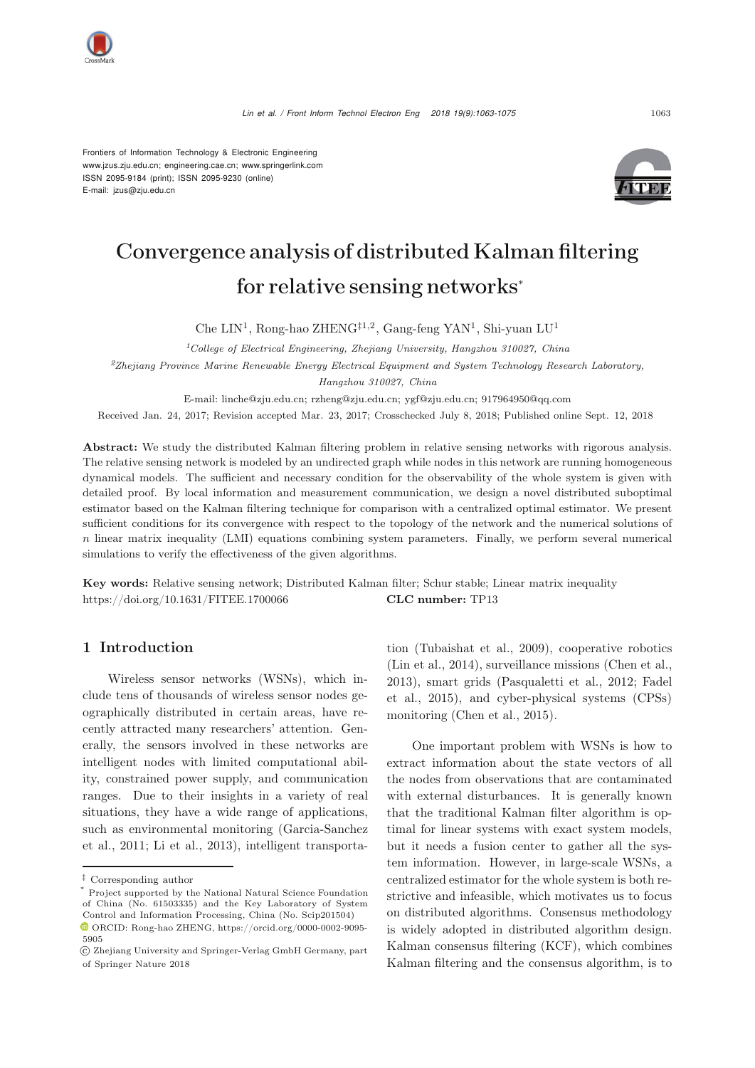*Lin et al. / Front Inform Technol Electron Eng 2018 19(9):1063-1075* 1075



Frontiers of Information Technology & Electronic Engineering [www.jzus.zju.edu.cn;](www.jzus.zju.edu.cn) [engineering.cae.cn;](engineering.cae.cn)<www.springerlink.com> ISSN 2095-9184 (print); ISSN 2095-9230 (online) E-mail: jzus@zju.edu.cn



# Convergence analysis of distributed Kalman filtering for relative sensing networks<sup>∗</sup>

Che LIN<sup>1</sup>, Rong-hao ZHENG<sup> $\ddagger$ 1,2</sup>, Gang-feng YAN<sup>1</sup>, Shi-yuan LU<sup>1</sup>

*<sup>1</sup>College of Electrical Engineering, Zhejiang University, Hangzhou 310027, China*

*<sup>2</sup>Zhejiang Province Marine Renewable Energy Electrical Equipment and System Technology Research Laboratory, Hangzhou 310027, China*

E-mail: linche@zju.edu.cn; rzheng@zju.edu.cn; ygf@zju.edu.cn; 917964950@qq.com

Received Jan. 24, 2017; Revision accepted Mar. 23, 2017; Crosschecked July 8, 2018; Published online Sept. 12, 2018

Abstract: We study the distributed Kalman filtering problem in relative sensing networks with rigorous analysis. The relative sensing network is modeled by an undirected graph while nodes in this network are running homogeneous dynamical models. The sufficient and necessary condition for the observability of the whole system is given with detailed proof. By local information and measurement communication, we design a novel distributed suboptimal estimator based on the Kalman filtering technique for comparison with a centralized optimal estimator. We present sufficient conditions for its convergence with respect to the topology of the network and the numerical solutions of  $n$  linear matrix inequality (LMI) equations combining system parameters. Finally, we perform several numerical simulations to verify the effectiveness of the given algorithms.

Key words: Relative sensing network; Distributed Kalman filter; Schur stable; Linear matrix inequality https://doi.org/10.1631/FITEE.1700066 CLC number: TP13

## 1 Introduction

Wireless sensor networks (WSNs), which include tens of thousands of wireless sensor nodes geographically distributed in certain areas, have recently attracted many researchers' attention. Generally, the sensors involved in these networks are intelligent nodes with limited computational ability, constrained power supply, and communication ranges. Due to their insights in a variety of real situations, they have a wide range of applications, such [as](#page-11-0) [environmental](#page-11-0) [monitoring](#page-11-0) [\(](#page-11-0)Garcia-Sanchez et al., [2011;](#page-11-0) [Li et al., 2013](#page-11-1)), intelligent transportation [\(Tubaishat et al.](#page-11-2), [2009\)](#page-11-2), cooperative robotics [\(Lin et al.](#page-11-3), [2014](#page-11-3)), surveillance missions [\(Chen et al.](#page-10-0), [2013](#page-10-0))[,](#page-10-1) [smart](#page-10-1) [grids](#page-10-1) [\(Pasqualetti et al.](#page-11-4)[,](#page-10-1) [2012](#page-11-4)[;](#page-10-1) Fadel et al., [2015\)](#page-10-1), and cyber-physical systems (CPSs) monitoring [\(Chen et al.](#page-10-2), [2015\)](#page-10-2).

One important problem with WSNs is how to extract information about the state vectors of all the nodes from observations that are contaminated with external disturbances. It is generally known that the traditional Kalman filter algorithm is optimal for linear systems with exact system models, but it needs a fusion center to gather all the system information. However, in large-scale WSNs, a centralized estimator for the whole system is both restrictive and infeasible, which motivates us to focus on distributed algorithms. Consensus methodology is widely adopted in distributed algorithm design. Kalman consensus filtering (KCF), which combines Kalman filtering and the consensus algorithm, is to

*<sup>‡</sup>* Corresponding author

Project supported by the National Natural Science Foundation of China (No. 61503335) and the Key Laboratory of System Control and Information Processing, China (No. Scip201504)

ORCID: Rong-hao ZHENG, https://orcid.org/0000-0002-9095- 5905

c Zhejiang University and Springer-Verlag GmbH Germany, part of Springer Nature 2018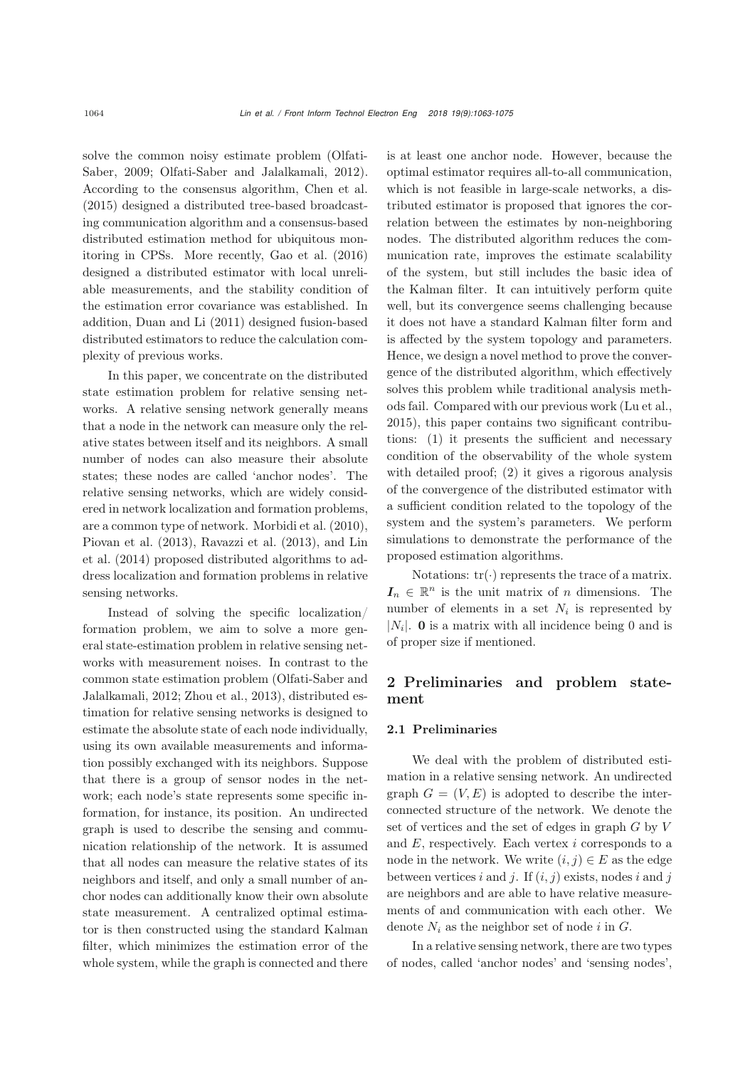solve [the](#page-11-5) [common](#page-11-5) [noisy](#page-11-5) [estimate](#page-11-5) [problem](#page-11-5) [\(](#page-11-5)Olfati-Saber, [2009](#page-11-5); [Olfati-Saber and Jalalkamali, 2012\)](#page-11-6). According to the consensus algorithm, [Chen et al.](#page-10-2) [\(2015](#page-10-2)) designed a distributed tree-based broadcasting communication algorithm and a consensus-based distributed estimation method for ubiquitous monitoring in CPSs. More recently, [Gao et al.](#page-10-3) [\(2016](#page-10-3)) designed a distributed estimator with local unreliable measurements, and the stability condition of the estimation error covariance was established. In addition, [Duan and Li](#page-10-4) [\(2011](#page-10-4)) designed fusion-based distributed estimators to reduce the calculation complexity of previous works.

In this paper, we concentrate on the distributed state estimation problem for relative sensing networks. A relative sensing network generally means that a node in the network can measure only the relative states between itself and its neighbors. A small number of nodes can also measure their absolute states; these nodes are called 'anchor nodes'. The relative sensing networks, which are widely considered in network localization and formation problems, are a common type of network. [Morbidi et al.](#page-11-7) [\(2010\)](#page-11-7), [Piovan et al.](#page-11-8) [\(2013](#page-11-8)[\),](#page-11-3) [Ravazzi et al.](#page-11-9) [\(2013](#page-11-9)[\),](#page-11-3) [and](#page-11-3) Lin et al. [\(2014\)](#page-11-3) proposed distributed algorithms to address localization and formation problems in relative sensing networks.

Instead of solving the specific localization/ formation problem, we aim to solve a more general state-estimation problem in relative sensing networks with measurement noises. In contrast to the common st[ate](#page-11-6) [estimation](#page-11-6) [problem](#page-11-6) [\(](#page-11-6)Olfati-Saber and Jalalkamali, [2012](#page-11-6); [Zhou et al., 2013\)](#page-11-10), distributed estimation for relative sensing networks is designed to estimate the absolute state of each node individually, using its own available measurements and information possibly exchanged with its neighbors. Suppose that there is a group of sensor nodes in the network; each node's state represents some specific information, for instance, its position. An undirected graph is used to describe the sensing and communication relationship of the network. It is assumed that all nodes can measure the relative states of its neighbors and itself, and only a small number of anchor nodes can additionally know their own absolute state measurement. A centralized optimal estimator is then constructed using the standard Kalman filter, which minimizes the estimation error of the whole system, while the graph is connected and there

is at least one anchor node. However, because the optimal estimator requires all-to-all communication, which is not feasible in large-scale networks, a distributed estimator is proposed that ignores the correlation between the estimates by non-neighboring nodes. The distributed algorithm reduces the communication rate, improves the estimate scalability of the system, but still includes the basic idea of the Kalman filter. It can intuitively perform quite well, but its convergence seems challenging because it does not have a standard Kalman filter form and is affected by the system topology and parameters. Hence, we design a novel method to prove the convergence of the distributed algorithm, which effectively solves this problem while traditional analysis methods fail. Compared with our previous work [\(Lu et al.](#page-11-11), [2015](#page-11-11)), this paper contains two significant contributions: (1) it presents the sufficient and necessary condition of the observability of the whole system with detailed proof; (2) it gives a rigorous analysis of the convergence of the distributed estimator with a sufficient condition related to the topology of the system and the system's parameters. We perform simulations to demonstrate the performance of the proposed estimation algorithms.

Notations:  $tr(\cdot)$  represents the trace of a matrix.  $I_n \in \mathbb{R}^n$  is the unit matrix of n dimensions. The number of elements in a set  $N_i$  is represented by  $|N_i|$ . **0** is a matrix with all incidence being 0 and is of proper size if mentioned.

## 2 Preliminaries and problem statement

#### 2.1 Preliminaries

We deal with the problem of distributed estimation in a relative sensing network. An undirected graph  $G = (V, E)$  is adopted to describe the interconnected structure of the network. We denote the set of vertices and the set of edges in graph  $G$  by  $V$ and  $E$ , respectively. Each vertex  $i$  corresponds to a node in the network. We write  $(i, j) \in E$  as the edge between vertices i and j. If  $(i, j)$  exists, nodes i and j are neighbors and are able to have relative measurements of and communication with each other. We denote  $N_i$  as the neighbor set of node i in  $G$ .

In a relative sensing network, there are two types of nodes, called 'anchor nodes' and 'sensing nodes',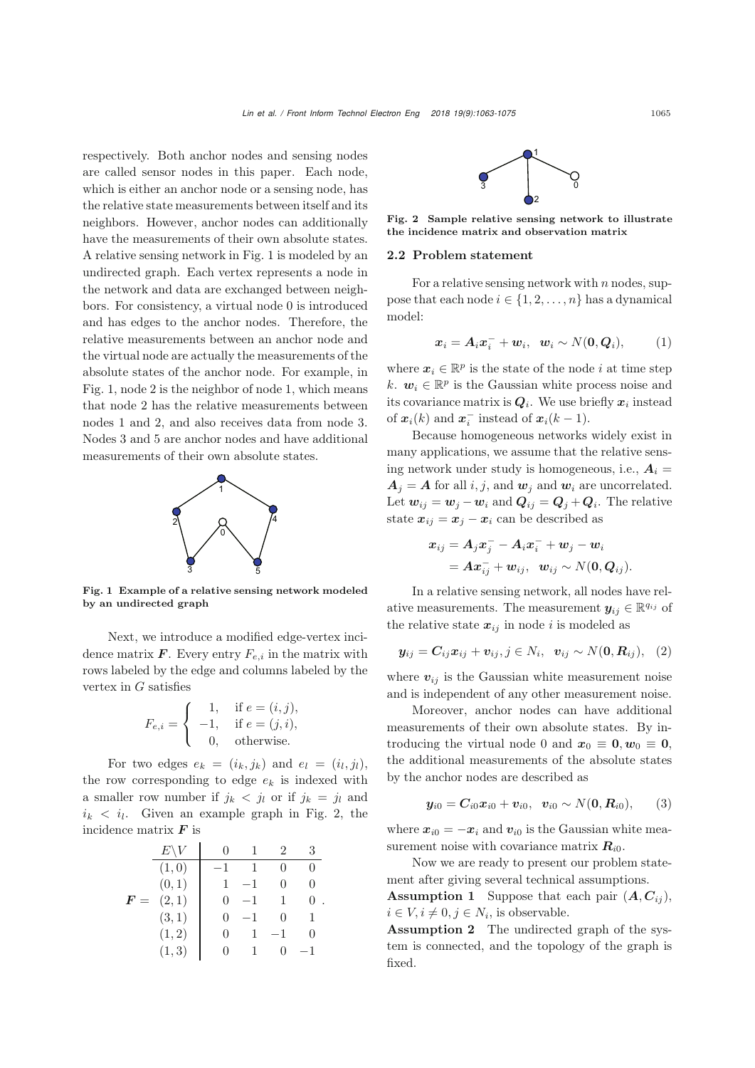respectively. Both anchor nodes and sensing nodes are called sensor nodes in this paper. Each node, which is either an anchor node or a sensing node, has the relative state measurements between itself and its neighbors. However, anchor nodes can additionally have the measurements of their own absolute states. A relative sensing network in Fig. [1](#page-2-0) is modeled by an undirected graph. Each vertex represents a node in the network and data are exchanged between neighbors. For consistency, a virtual node 0 is introduced and has edges to the anchor nodes. Therefore, the relative measurements between an anchor node and the virtual node are actually the measurements of the absolute states of the anchor node. For example, in Fig. [1,](#page-2-0) node 2 is the neighbor of node 1, which means that node 2 has the relative measurements between nodes 1 and 2, and also receives data from node 3. Nodes 3 and 5 are anchor nodes and have additional measurements of their own absolute states.



<span id="page-2-0"></span>Fig. 1 Example of a relative sensing network modeled by an undirected graph

Next, we introduce a modified edge-vertex incidence matrix  $\boldsymbol{F}$ . Every entry  $F_{e,i}$  in the matrix with rows labeled by the edge and columns labeled by the vertex in  $G$  satisfies

$$
F_{e,i} = \begin{cases} 1, & \text{if } e = (i,j), \\ -1, & \text{if } e = (j,i), \\ 0, & \text{otherwise.} \end{cases}
$$

For two edges  $e_k = (i_k, j_k)$  and  $e_l = (i_l, j_l)$ , the row corresponding to edge  $e_k$  is indexed with a smaller row number if  $j_k < j_l$  or if  $j_k = j_l$  and  $i_k < i_l$ . Given an example graph in Fig. [2,](#page-2-1) the incidence matrix *F* is

|            | $E\backslash V$ |            |      | 2                 | 3                |
|------------|-----------------|------------|------|-------------------|------------------|
|            | (1,0)           | $-1$       | 1    | $\Omega$          | 0                |
|            | (0,1)           | 1          | $-1$ | $\mathbf{\Omega}$ | $\left( \right)$ |
| $\bm{F} =$ | (2,1)           | $\Omega$   | $-1$ |                   | $\cup$           |
|            | (3,1)           | $\Omega$   | $-1$ | $\Omega$          |                  |
|            | (1, 2)          | $\Omega$   |      | $-1$              | $\left( \right)$ |
|            | (1, 3)          | $^{\circ}$ |      | $\Box$            | $-1$             |



<span id="page-2-1"></span>Fig. 2 Sample relative sensing network to illustrate the incidence matrix and observation matrix

#### 2.2 Problem statement

For a relative sensing network with  $n$  nodes, suppose that each node  $i \in \{1, 2, ..., n\}$  has a dynamical model:

<span id="page-2-2"></span>
$$
\boldsymbol{x}_i = \boldsymbol{A}_i \boldsymbol{x}_i^- + \boldsymbol{w}_i, \ \ \boldsymbol{w}_i \sim N(\boldsymbol{0}, \boldsymbol{Q}_i), \tag{1}
$$

where  $x_i \in \mathbb{R}^p$  is the state of the node i at time step k.  $w_i \in \mathbb{R}^p$  is the Gaussian white process noise and its covariance matrix is  $Q_i$ . We use briefly  $x_i$  instead of  $x_i(k)$  and  $x_i^-$  instead of  $x_i(k-1)$ .

Because homogeneous networks widely exist in many applications, we assume that the relative sensing network under study is homogeneous, i.e.,  $A_i =$  $A_j = A$  for all i, j, and  $w_j$  and  $w_i$  are uncorrelated. Let  $w_{ij} = w_j - w_i$  and  $Q_{ij} = Q_j + Q_i$ . The relative state  $x_{ij} = x_j - x_i$  can be described as

$$
\begin{aligned} \boldsymbol{x}_{ij} &= \boldsymbol{A}_j\boldsymbol{x}_j^- - \boldsymbol{A}_i\boldsymbol{x}_i^- + \boldsymbol{w}_j - \boldsymbol{w}_i \\ &= \boldsymbol{A}\boldsymbol{x}_{ij}^- + \boldsymbol{w}_{ij}, ~~ \boldsymbol{w}_{ij} \sim N(\boldsymbol{0}, \boldsymbol{Q}_{ij}). \end{aligned}
$$

In a relative sensing network, all nodes have relative measurements. The measurement  $y_{ij} \in \mathbb{R}^{q_{ij}}$  of the relative state  $x_{ij}$  in node i is modeled as

<span id="page-2-3"></span>
$$
\mathbf{y}_{ij} = \mathbf{C}_{ij}\mathbf{x}_{ij} + \mathbf{v}_{ij}, j \in N_i, \quad \mathbf{v}_{ij} \sim N(\mathbf{0}, \mathbf{R}_{ij}), \quad (2)
$$

where  $v_{ij}$  is the Gaussian white measurement noise and is independent of any other measurement noise.

Moreover, anchor nodes can have additional measurements of their own absolute states. By introducing the virtual node 0 and  $x_0 \equiv 0, w_0 \equiv 0$ , the additional measurements of the absolute states by the anchor nodes are described as

<span id="page-2-4"></span>
$$
\mathbf{y}_{i0} = \mathbf{C}_{i0}\mathbf{x}_{i0} + \mathbf{v}_{i0}, \ \ \mathbf{v}_{i0} \sim N(\mathbf{0}, \mathbf{R}_{i0}), \qquad (3)
$$

where  $x_{i0} = -x_i$  and  $v_{i0}$  is the Gaussian white measurement noise with covariance matrix  $R_{i0}$ .

Now we are ready to present our problem statement after giving several technical assumptions.

<span id="page-2-5"></span>**Assumption 1** Suppose that each pair  $(A, C_{ii})$ ,  $i \in V, i \neq 0, j \in N_i$ , is observable.

<span id="page-2-6"></span>Assumption 2 The undirected graph of the system is connected, and the topology of the graph is fixed.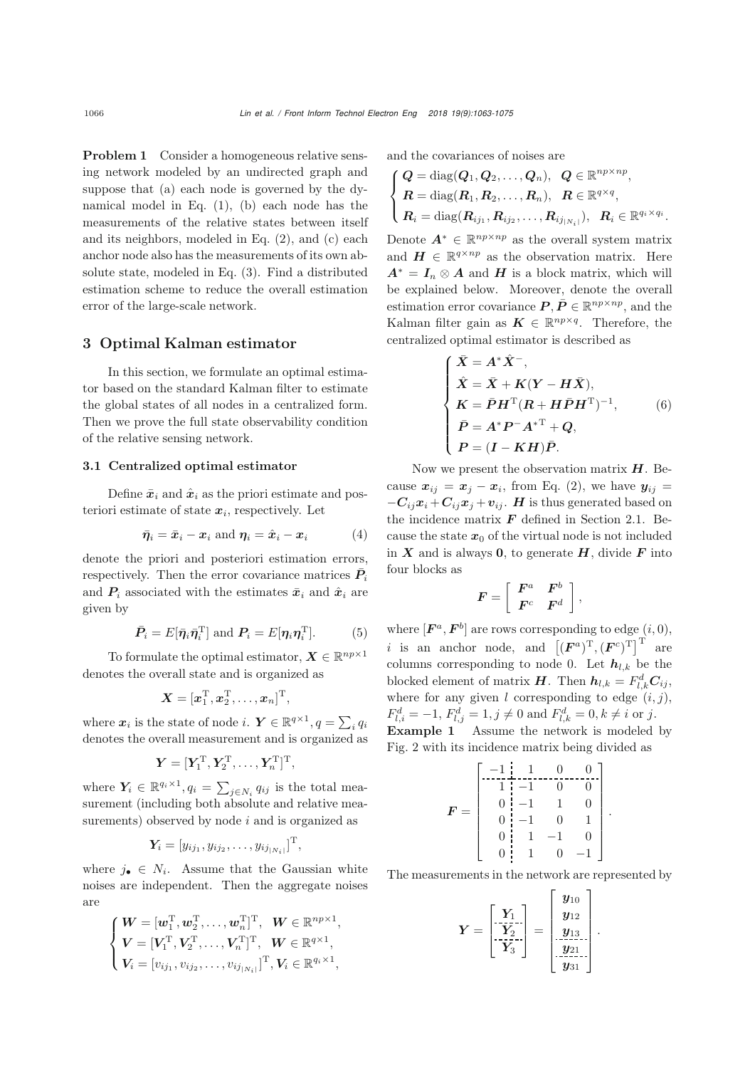Problem 1 Consider a homogeneous relative sensing network modeled by an undirected graph and suppose that (a) each node is governed by the dynamical model in Eq. [\(1\)](#page-2-2), (b) each node has the measurements of the relative states between itself and its neighbors, modeled in Eq. [\(2\)](#page-2-3), and (c) each anchor node also has the measurements of its own absolute state, modeled in Eq. [\(3\)](#page-2-4). Find a distributed estimation scheme to reduce the overall estimation error of the large-scale network.

### 3 Optimal Kalman estimator

In this section, we formulate an optimal estimator based on the standard Kalman filter to estimate the global states of all nodes in a centralized form. Then we prove the full state observability condition of the relative sensing network.

#### 3.1 Centralized optimal estimator

Define  $\bar{x}_i$  and  $\hat{x}_i$  as the priori estimate and posteriori estimate of state  $x_i$ , respectively. Let

$$
\bar{\boldsymbol{\eta}}_i = \bar{\boldsymbol{x}}_i - \boldsymbol{x}_i \text{ and } \boldsymbol{\eta}_i = \hat{\boldsymbol{x}}_i - \boldsymbol{x}_i \tag{4}
$$

denote the priori and posteriori estimation errors, respectively. Then the error covariance matrices  $\bar{P}_i$ and  $P_i$  associated with the estimates  $\bar{x}_i$  and  $\hat{x}_i$  are given by

<span id="page-3-1"></span>
$$
\bar{P}_i = E[\bar{\eta}_i \bar{\eta}_i^{\mathrm{T}}] \text{ and } P_i = E[\eta_i \eta_i^{\mathrm{T}}]. \tag{5}
$$

To formulate the optimal estimator,  $\mathbf{X} \in \mathbb{R}^{np \times 1}$ denotes the overall state and is organized as

$$
\boldsymbol{X} = [\boldsymbol{x}_1^{\mathrm{T}}, \boldsymbol{x}_2^{\mathrm{T}}, \ldots, \boldsymbol{x}_n]^{\mathrm{T}},
$$

where  $\boldsymbol{x}_i$  is the state of node *i*.  $\boldsymbol{Y} \in \mathbb{R}^{q \times 1}, q = \sum_i q_i$ denotes the overall measurement and is organized as

$$
\boldsymbol{Y} = [\boldsymbol{Y}_1^{\rm T}, \boldsymbol{Y}_2^{\rm T}, \ldots, \boldsymbol{Y}_n^{\rm T}]^{\rm T},
$$

where  $Y_i \in \mathbb{R}^{q_i \times 1}, q_i = \sum_{j \in N_i} q_{ij}$  is the total measurement (including both absolute and relative measurements) observed by node  $i$  and is organized as

$$
\bm{Y}_i = [y_{ij_1}, y_{ij_2}, \dots, y_{ij_{|N_i|}}]^{\mathrm{T}},
$$

where  $j_{\bullet} \in N_i$ . Assume that the Gaussian white noises are independent. Then the aggregate noises are

$$
\left\{\begin{aligned} \boldsymbol{W} & = [\boldsymbol{w}_1^{\mathrm{T}}, \boldsymbol{w}_2^{\mathrm{T}}, \ldots, \boldsymbol{w}_n^{\mathrm{T}}]^{\mathrm{T}}, \quad \boldsymbol{W} \in \mathbb{R}^{np \times 1}, \\ \boldsymbol{V} & = [\boldsymbol{V}_1^{\mathrm{T}}, \boldsymbol{V}_2^{\mathrm{T}}, \ldots, \boldsymbol{V}_n^{\mathrm{T}}]^{\mathrm{T}}, \quad \boldsymbol{W} \in \mathbb{R}^{q \times 1}, \\ \boldsymbol{V}_i & = [v_{ij_1}, v_{ij_2}, \ldots, v_{ij_{|N_i|}}]^{\mathrm{T}}, \boldsymbol{V}_i \in \mathbb{R}^{q_i \times 1}, \end{aligned}\right.
$$

and the covariances of noises are

$$
\left\{\begin{aligned}&\boldsymbol{Q}=\text{diag}(\boldsymbol{Q}_1,\boldsymbol{Q}_2,\ldots,\boldsymbol{Q}_n),~~\boldsymbol{Q}\in\mathbb{R}^{np\times np},\\&\boldsymbol{R}=\text{diag}(\boldsymbol{R}_1,\boldsymbol{R}_2,\ldots,\boldsymbol{R}_n),~~\boldsymbol{R}\in\mathbb{R}^{q\times q},\\&\boldsymbol{R}_i=\text{diag}(\boldsymbol{R}_{ij_1},\boldsymbol{R}_{ij_2},\ldots,\boldsymbol{R}_{ij_{|N_i|}}),~~\boldsymbol{R}_i\in\mathbb{R}^{q_i\times q_i}.\end{aligned}\right.
$$

Denote  $A^* \in \mathbb{R}^{np \times np}$  as the overall system matrix and  $H \in \mathbb{R}^{q \times np}$  as the observation matrix. Here  $A^* = I_n \otimes A$  and *H* is a block matrix, which will be explained below. Moreover, denote the overall estimation error covariance  $P, \overline{P} \in \mathbb{R}^{np \times np}$ , and the Kalman filter gain as  $\mathbf{K} \in \mathbb{R}^{np \times q}$ . Therefore, the centralized optimal estimator is described as

<span id="page-3-0"></span>
$$
\begin{cases}\n\bar{X} = A^* \hat{X}^-, \\
\hat{X} = \bar{X} + K(Y - H\bar{X}), \\
K = \bar{P}H^T (R + H\bar{P}H^T)^{-1}, \\
\bar{P} = A^* P^- A^{*T} + Q, \\
P = (I - KH)\bar{P}.\n\end{cases}
$$
\n(6)

Now we present the observation matrix *H*. Because  $x_{ij} = x_j - x_i$ , from Eq. [\(2\)](#page-2-3), we have  $y_{ij} =$  $-C_{ij}x_i + C_{ij}x_j + v_{ij}$ . *H* is thus generated based on the incidence matrix  $\boldsymbol{F}$  defined in Section 2.1. Because the state  $x_0$  of the virtual node is not included in  $X$  and is always 0, to generate  $H$ , divide  $F$  into four blocks as

$$
\boldsymbol{F} = \left[ \begin{array}{cc} \boldsymbol{F}^a & \boldsymbol{F}^b \\ \boldsymbol{F}^c & \boldsymbol{F}^d \end{array} \right],
$$

where  $[F^a, F^b]$  are rows corresponding to edge  $(i, 0)$ , i is an anchor node, and  $[(F^a)^T, (F^c)^T]^T$  are columns corresponding to node 0. Let  $h_{l,k}$  be the blocked element of matrix *H*. Then  $h_{l,k} = F_{l,k}^d C_{ij}$ , where for any given  $l$  corresponding to edge  $(i, j)$ ,  $F_{l,i}^d = -1, F_{l,i}^d = 1, j \neq 0$  and  $F_{l,k}^d = 0, k \neq i$  or j. **Example 1** Assume the network is modeled by Fig. [2](#page-2-1) with its incidence matrix being divided as

$$
\mathbf{F} = \begin{bmatrix} -1 & 1 & 0 & 0 \\ 1 & -1 & 0 & 0 \\ 0 & -1 & 1 & 0 \\ 0 & 1 & 0 & 1 \end{bmatrix}.
$$

$$
\begin{bmatrix} 0 & -1 & 0 & 1 \\ 0 & 1 & -1 & 0 \\ 0 & 1 & 0 & -1 \end{bmatrix}
$$

The measurements in the network are represented by

$$
\bm{Y} = \begin{bmatrix} \bm{Y}_1 \\ \bm{Y}_2 \\ \bm{Y}_3 \end{bmatrix} = \begin{bmatrix} \bm{y}_{10} \\ \bm{y}_{12} \\ \bm{y}_{13} \\ \bm{y}_{21} \\ \bm{y}_{31} \end{bmatrix}.
$$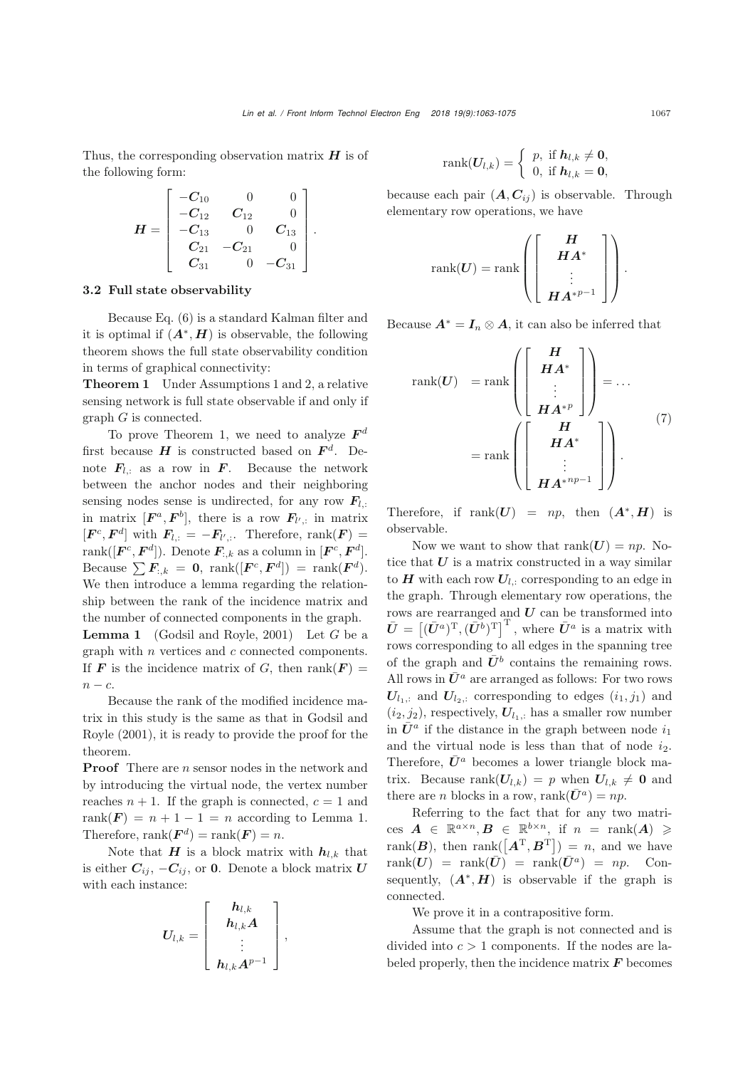Thus, the corresponding observation matrix *H* is of the following form:

$$
H = \begin{bmatrix} -C_{10} & 0 & 0 \\ -C_{12} & C_{12} & 0 \\ -C_{13} & 0 & C_{13} \\ C_{21} & -C_{21} & 0 \\ C_{31} & 0 & -C_{31} \end{bmatrix}.
$$

#### 3.2 Full state observability

Because Eq. [\(6\)](#page-3-0) is a standard Kalman filter and it is optimal if  $(A^*, H)$  is observable, the following theorem shows the full state observability condition in terms of graphical connectivity:

<span id="page-4-0"></span>Theorem 1 Under Assumptions [1](#page-2-5) and [2,](#page-2-6) a relative sensing network is full state observable if and only if graph G is connected.

To prove Theorem [1,](#page-4-0) we need to analyze  $\mathbf{F}^d$ first because  $H$  is constructed based on  $F<sup>d</sup>$ . Denote  $\mathbf{F}_l$  as a row in  $\mathbf{F}_l$ . Because the network between the anchor nodes and their neighboring sensing nodes sense is undirected, for any row  $\mathbf{F}_l$ . in matrix  $[F^a, F^b]$ , there is a row  $F_{l',:}$  in matrix  $[F^c, F^d]$  with  $\mathbf{F}_{l,:} = -\mathbf{F}_{l',,:}$ . Therefore, rank $(F)$  = rank( $[{\bm{F}}^c, {\bm{F}}^d]$ ). Denote  ${\bm{F}}_{:,k}$  as a column in  $[{\bm{F}}^c, {\bm{F}}^d]$ . Because  $\sum \mathbf{F}_{:,k} = \mathbf{0}$ , rank $(\mathbf{F}^c, \mathbf{F}^d)$  = rank $(\mathbf{F}^d)$ . We then introduce a lemma regarding the relationship between the rank of the incidence matrix and the number of connected components in the graph.

<span id="page-4-1"></span>**Lemma 1** [\(Godsil and Royle](#page-11-12), [2001](#page-11-12)) Let  $G$  be a graph with n vertices and c connected components. If **F** is the incidence matrix of G, then rank $(F)$  =  $n - c$ .

Because the rank of the modified incidence matrix in this study is the same as that in Godsil and Royle [\(2001\)](#page-11-12), it is ready to provide the proof for the theorem.

**Proof** There are *n* sensor nodes in the network and by introducing the virtual node, the vertex number reaches  $n + 1$ . If the graph is connected,  $c = 1$  and rank $(F) = n + 1 - 1 = n$  according to Lemma [1.](#page-4-1) Therefore, rank $(F^d)$  = rank $(F)$  = n.

Note that *H* is a block matrix with  $h_{l,k}$  that is either  $C_{ij}$ ,  $-C_{ij}$ , or 0. Denote a block matrix *U* with each instance:

$$
\boldsymbol{U}_{l,k} = \left[ \begin{array}{c} \boldsymbol{h}_{l,k} \\ \boldsymbol{h}_{l,k} \boldsymbol{A} \\ \vdots \\ \boldsymbol{h}_{l,k} \boldsymbol{A}^{p-1} \end{array} \right],
$$

$$
rank(\boldsymbol{U}_{l,k}) = \begin{cases} p, & \text{if } h_{l,k} \neq \boldsymbol{0}, \\ 0, & \text{if } h_{l,k} = \boldsymbol{0}, \end{cases}
$$

because each pair  $(A, C_{ij})$  is observable. Through elementary row operations, we have

$$
rank(\boldsymbol{U}) = rank \left( \left[ \begin{array}{c} \boldsymbol{H} \\ \boldsymbol{H}\boldsymbol{A}^{*} \\ \vdots \\ \boldsymbol{H}\boldsymbol{A}^{*p-1} \end{array} \right] \right).
$$

Because  $A^* = I_n \otimes A$ , it can also be inferred that

<span id="page-4-2"></span>
$$
\operatorname{rank}(U) = \operatorname{rank}\left(\begin{bmatrix} H \\ H A^* \\ \vdots \\ H A^{*p} \end{bmatrix}\right) = \dots
$$

$$
= \operatorname{rank}\left(\begin{bmatrix} H \\ H A^* \\ \vdots \\ H A^{*np-1} \end{bmatrix}\right).
$$
(7)

Therefore, if  $\text{rank}(U) = np$ , then  $(A^*, H)$  is observable.

Now we want to show that  $rank(U) = np$ . Notice that  $U$  is a matrix constructed in a way similar to  $H$  with each row  $U_l$ . corresponding to an edge in the graph. Through elementary row operations, the rows are rearranged and *U* can be transformed into  $\bar{U} = \left[ (\bar{U}^a)^{\mathrm{T}}, (\bar{U}^{\overline{b}})^{\mathrm{T}} \right]^{\mathrm{T}}$ , where  $\bar{U}^a$  is a matrix with rows corresponding to all edges in the spanning tree of the graph and  $\bar{U}^b$  contains the remaining rows. All rows in  $\bar{U}^a$  are arranged as follows: For two rows  $U_{l_1,:}$  and  $U_{l_2,:}$  corresponding to edges  $(i_1, j_1)$  and  $(i_2, j_2)$ , respectively,  $U_{l_1,:}$  has a smaller row number in  $\bar{U}^a$  if the distance in the graph between node  $i_1$ and the virtual node is less than that of node  $i_2$ . Therefore,  $\bar{U}^a$  becomes a lower triangle block matrix. Because rank $(U_{l,k}) = p$  when  $U_{l,k} \neq 0$  and there are *n* blocks in a row, rank $(\bar{U}^a) = np$ .

Referring to the fact that for any two matrices  $A \in \mathbb{R}^{a \times n}, B \in \mathbb{R}^{b \times n}$ , if  $n = \text{rank}(A) \geqslant$ rank $(B)$ , then rank $([A^T, B^T]) = n$ , and we have  $rank(\mathbf{U}) = rank(\bar{\mathbf{U}}) = rank(\bar{\mathbf{U}}^a) = np.$  Consequently,  $(A^*, H)$  is observable if the graph is connected.

We prove it in a contrapositive form.

Assume that the graph is not connected and is divided into  $c > 1$  components. If the nodes are labeled properly, then the incidence matrix  $\boldsymbol{F}$  becomes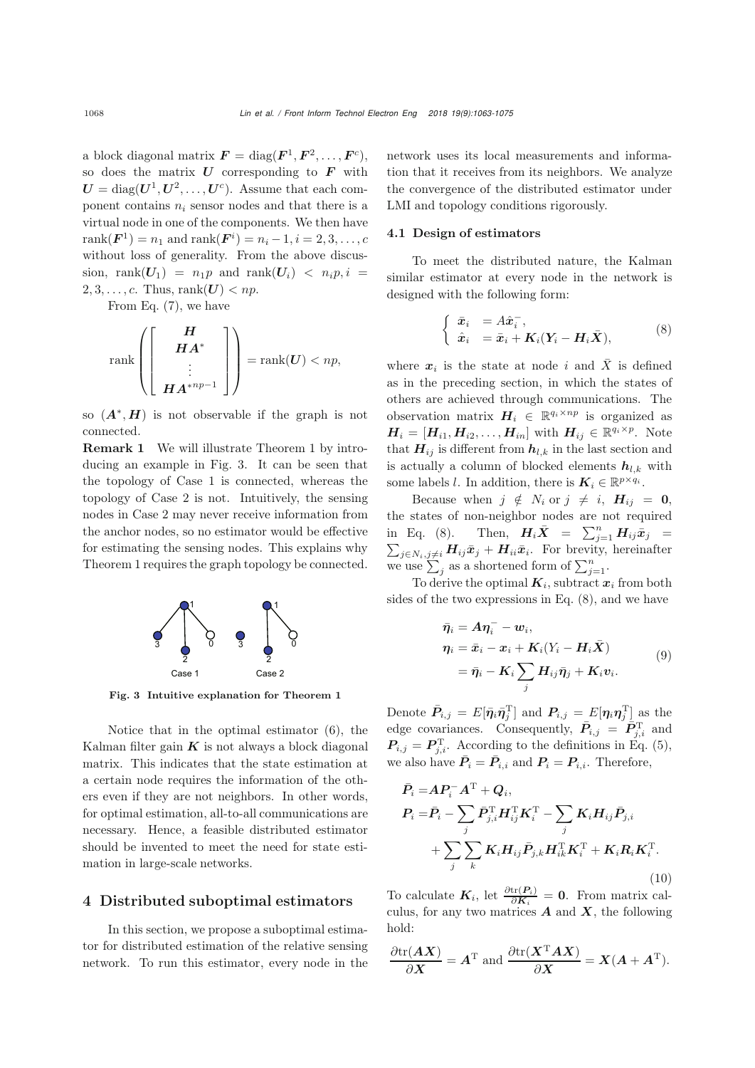a block diagonal matrix  $\mathbf{F} = \text{diag}(\mathbf{F}^1, \mathbf{F}^2, \dots, \mathbf{F}^c)$ , so does the matrix  $U$  corresponding to  $F$  with  $U = \text{diag}(U^1, U^2, \dots, U^c)$ . Assume that each component contains  $n_i$  sensor nodes and that there is a virtual node in one of the components. We then have  $rank(\mathbf{F}^{1}) = n_{1}$  and  $rank(\mathbf{F}^{i}) = n_{i} - 1, i = 2, 3, ..., c$ without loss of generality. From the above discussion, rank $(U_1)$  =  $n_1p$  and rank $(U_i)$  <  $n_ip, i$  =  $2, 3, \ldots, c$ . Thus, rank $(U) < np$ .

From Eq. [\(7\)](#page-4-2), we have

$$
\operatorname{rank}\left(\left[\begin{array}{c}\mathbf{H} \\ \mathbf{H}\mathbf{A}^* \\ \vdots \\ \mathbf{H}\mathbf{A}^{*np-1}\end{array}\right]\right) = \operatorname{rank}(\mathbf{U}) < np,
$$

so  $(A^*, H)$  is not observable if the graph is not connected.

Remark 1 We will illustrate Theorem [1](#page-4-0) by introducing an example in Fig. [3.](#page-5-0) It can be seen that the topology of Case 1 is connected, whereas the topology of Case 2 is not. Intuitively, the sensing nodes in Case 2 may never receive information from the anchor nodes, so no estimator would be effective for estimating the sensing nodes. This explains why Theorem [1](#page-4-0) requires the graph topology be connected.



<span id="page-5-0"></span>Fig. 3 Intuitive explanation for Theorem [1](#page-4-0)

Notice that in the optimal estimator [\(6\)](#page-3-0), the Kalman filter gain  $K$  is not always a block diagonal matrix. This indicates that the state estimation at a certain node requires the information of the others even if they are not neighbors. In other words, for optimal estimation, all-to-all communications are necessary. Hence, a feasible distributed estimator should be invented to meet the need for state estimation in large-scale networks.

#### 4 Distributed suboptimal estimators

In this section, we propose a suboptimal estimator for distributed estimation of the relative sensing network. To run this estimator, every node in the network uses its local measurements and information that it receives from its neighbors. We analyze the convergence of the distributed estimator under LMI and topology conditions rigorously.

#### 4.1 Design of estimators

To meet the distributed nature, the Kalman similar estimator at every node in the network is designed with the following form:

<span id="page-5-1"></span>
$$
\begin{cases} \bar{x}_i = A\hat{x}_i^-, \\ \hat{x}_i = \bar{x}_i + K_i(Y_i - H_i\bar{X}), \end{cases} (8)
$$

where  $x_i$  is the state at node i and  $\bar{X}$  is defined as in the preceding section, in which the states of others are achieved through communications. The observation matrix  $H_i \in \mathbb{R}^{q_i \times np}$  is organized as  $H_i = [H_{i1}, H_{i2}, \dots, H_{in}]$  with  $H_{ij} \in \mathbb{R}^{q_i \times p}$ . Note that  $H_{ij}$  is different from  $h_{l,k}$  in the last section and is actually a column of blocked elements  $h_{l,k}$  with some labels *l*. In addition, there is  $\mathbf{K}_i \in \mathbb{R}^{p \times q_i}$ .

Because when  $j \notin N_i$  or  $j \neq i$ ,  $H_{ij} = 0$ , the states of non-neighbor nodes are not required in Eq. [\(8\)](#page-5-1). Then,  $H_i\bar{X} = \sum_{j=1}^n H_{ij}\bar{x}_j =$  $\sum_{j\in N_i,j\neq i} H_{ij}\bar{x}_j + H_{ii}\bar{x}_i$ . For brevity, hereinafter we use  $\sum_{j=1}^{n}$  as a shortened form of  $\sum_{j=1}^{n}$ .

To derive the optimal  $K_i$ , subtract  $x_i$  from both sides of the two expressions in Eq. [\(8\)](#page-5-1), and we have

<span id="page-5-3"></span>
$$
\bar{\eta}_i = A\eta_i^- - w_i, \n\eta_i = \bar{x}_i - x_i + K_i(Y_i - H_i\bar{X}) \n= \bar{\eta}_i - K_i \sum_j H_{ij}\bar{\eta}_j + K_i v_i.
$$
\n(9)

Denote  $\bar{P}_{i,j} = E[\bar{\eta}_i \bar{\eta}_i^{\mathrm{T}}]$  and  $P_{i,j} = E[\eta_i \eta_i^{\mathrm{T}}]$  as the edge covariances. Consequently,  $\bar{P}_{i,j} = \bar{P}_{i,j}^{\mathrm{T}}$  and  $P_{i,j} = P_{i,i}^{\mathrm{T}}$ . According to the definitions in Eq. [\(5\)](#page-3-1), we also have  $\bar{P}_i = \bar{P}_{i,i}$  and  $P_i = P_{i,i}$ . Therefore,

<span id="page-5-2"></span>
$$
\bar{P}_i = AP_i^- A^T + Q_i,
$$
\n
$$
P_i = \bar{P}_i - \sum_j \bar{P}_{j,i}^T H_{ij}^T K_i^T - \sum_j K_i H_{ij} \bar{P}_{j,i}
$$
\n
$$
+ \sum_j \sum_k K_i H_{ij} \bar{P}_{j,k} H_{ik}^T K_i^T + K_i R_i K_i^T.
$$
\n(10)

To calculate  $K_i$ , let  $\frac{\partial \text{tr}(P_i)}{\partial K_i} = 0$ . From matrix calculus, for any two matrices *A* and *X*, the following hold:

$$
\frac{\partial \text{tr}(\mathbf{A}\mathbf{X})}{\partial \mathbf{X}} = \mathbf{A}^{\text{T}} \text{ and } \frac{\partial \text{tr}(\mathbf{X}^{\text{T}} \mathbf{A} \mathbf{X})}{\partial \mathbf{X}} = \mathbf{X}(\mathbf{A} + \mathbf{A}^{\text{T}}).
$$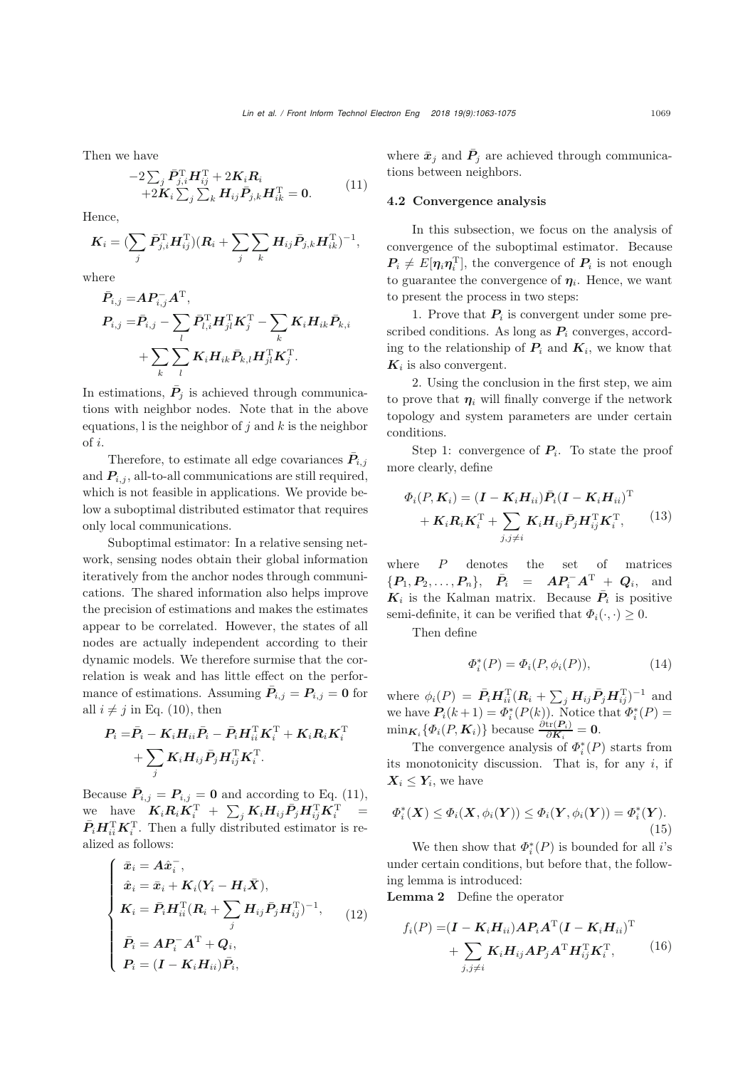Then we have

<span id="page-6-0"></span>
$$
-2\sum_{j}\bar{P}_{j,i}^{\mathrm{T}}\bar{H}_{ij}^{\mathrm{T}} + 2K_{i}R_{i}
$$
  
+2K<sub>i</sub> $\sum_{j}\sum_{k}\bar{H}_{ij}\bar{P}_{j,k}\bar{H}_{ik}^{\mathrm{T}} = 0.$  (11)

Hence,

$$
\boldsymbol{K}_i = (\sum_j \bar{\boldsymbol{P}}_{j,i}^\mathrm{T} \boldsymbol{H}_{ij}^\mathrm{T}) (\boldsymbol{R}_i + \sum_j \sum_k \boldsymbol{H}_{ij} \bar{\boldsymbol{P}}_{j,k} \boldsymbol{H}_{ik}^\mathrm{T})^{-1},
$$

where

$$
\begin{aligned} \bar{\boldsymbol{P}}_{i,j}=&\boldsymbol{A}\boldsymbol{P}_{i,j}^{-}\boldsymbol{A}^{\mathrm{T}}, \\ \boldsymbol{P}_{i,j}=&\bar{\boldsymbol{P}}_{i,j}-\sum_{l}\bar{\boldsymbol{P}}_{l,i}^{\mathrm{T}}\boldsymbol{H}_{jl}^{\mathrm{T}}\boldsymbol{K}_{j}^{\mathrm{T}}-\sum_{k}\boldsymbol{K}_{i}\boldsymbol{H}_{ik}\bar{\boldsymbol{P}}_{k,i} \\ &+\sum_{k}\sum_{l}\boldsymbol{K}_{i}\boldsymbol{H}_{ik}\bar{\boldsymbol{P}}_{k,l}\boldsymbol{H}_{jl}^{\mathrm{T}}\boldsymbol{K}_{j}^{\mathrm{T}}. \end{aligned}
$$

In estimations,  $\bar{P}_j$  is achieved through communications with neighbor nodes. Note that in the above equations, l is the neighbor of  $j$  and  $k$  is the neighbor of i.

Therefore, to estimate all edge covariances  $\bar{P}_{i,j}$ and  $P_{i,j}$ , all-to-all communications are still required, which is not feasible in applications. We provide below a suboptimal distributed estimator that requires only local communications.

Suboptimal estimator: In a relative sensing network, sensing nodes obtain their global information iteratively from the anchor nodes through communications. The shared information also helps improve the precision of estimations and makes the estimates appear to be correlated. However, the states of all nodes are actually independent according to their dynamic models. We therefore surmise that the correlation is weak and has little effect on the performance of estimations. Assuming  $\overline{P}_{i,j} = P_{i,j} = 0$  for all  $i \neq j$  in Eq. [\(10\)](#page-5-2), then

$$
\begin{aligned} \boldsymbol{P}_{\!i} = &\bar{\boldsymbol{P}}_{\!i} - \boldsymbol{K}_{i}\boldsymbol{H}_{ii}\bar{\boldsymbol{P}}_{\!i} - \bar{\boldsymbol{P}}_{\!i}\boldsymbol{H}_{ii}^{\mathrm{T}}\boldsymbol{K}_{i}^{\mathrm{T}} + \boldsymbol{K}_{i}\boldsymbol{R}_{i}\boldsymbol{K}_{i}^{\mathrm{T}} \\ &+ \sum_{i}\boldsymbol{K}_{i}\boldsymbol{H}_{ij}\bar{\boldsymbol{P}}_{j}\boldsymbol{H}_{ij}^{\mathrm{T}}\boldsymbol{K}_{i}^{\mathrm{T}}. \end{aligned}
$$

Because  $\bar{P}_{i,j} = P_{i,j} = 0$  and according to Eq. [\(11\)](#page-6-0), we have  $K_i R_i K_i^{\text{T}} + \sum_i K_i H_{ij} \bar{P}_j H_{ij}^{\text{T}} K_i^{\text{T}} =$  $\bar{P}_i H_{ii}^{\rm T} K_i^{\rm T}$ . Then a fully distributed estimator is realized as follows:

<span id="page-6-3"></span>
$$
\begin{cases}\n\bar{x}_i = A\hat{x}_i^-, \\
\hat{x}_i = \bar{x}_i + K_i(Y_i - H_i\bar{X}), \\
K_i = \bar{P}_i H_{ii}^{\mathrm{T}}(R_i + \sum_j H_{ij}\bar{P}_j H_{ij}^{\mathrm{T}})^{-1}, \\
\bar{P}_i = AP_i^{-}A^{\mathrm{T}} + Q_i, \\
P_i = (I - K_i H_{ii})\bar{P}_i,\n\end{cases}
$$
\n(12)

where  $\bar{x}_j$  and  $\bar{P}_j$  are achieved through communications between neighbors.

#### 4.2 Convergence analysis

In this subsection, we focus on the analysis of convergence of the suboptimal estimator. Because  $P_i \neq E[\eta_i \eta_i^{\mathrm{T}}]$ , the convergence of  $P_i$  is not enough to guarantee the convergence of  $\eta_i$ . Hence, we want to present the process in two steps:

1. Prove that  $P_i$  is convergent under some prescribed conditions. As long as  $P_i$  converges, according to the relationship of  $P_i$  and  $K_i$ , we know that  $K_i$  is also convergent.

2. Using the conclusion in the first step, we aim to prove that  $\eta_i$  will finally converge if the network topology and system parameters are under certain conditions.

Step 1: convergence of  $P_i$ . To state the proof more clearly, define

$$
\Phi_i(P, K_i) = (\boldsymbol{I} - K_i H_{ii}) \bar{P}_i (\boldsymbol{I} - K_i H_{ii})^{\mathrm{T}} + K_i R_i K_i^{\mathrm{T}} + \sum_{j, j \neq i} K_i H_{ij} \bar{P}_j H_{ij}^{\mathrm{T}} K_i^{\mathrm{T}},
$$
(13)

where  $P$  denotes the set of matrices  ${P_1, P_2, \ldots, P_n}, \quad \bar{P_i} = AP_i^{-}A^T + Q_i, \text{ and}$  $K_i$  is the Kalman matrix. Because  $\bar{P}_i$  is positive semi-definite, it can be verified that  $\Phi_i(\cdot, \cdot) \geq 0$ .

Then define

$$
\Phi_i^*(P) = \Phi_i(P, \phi_i(P)),\tag{14}
$$

where  $\phi_i(P) = \bar{P}_i H_{ii}^{\mathrm{T}}(R_i + \sum_j H_{ij} \bar{P}_j H_{ij}^{\mathrm{T}})^{-1}$  and we have  $P_i(k+1) = \Phi_i^*(P(k))$ . Notice that  $\Phi_i^*(P) =$  $\min_{\mathbf{K}_i} {\{\overline{\Phi_i(P,\mathbf{K}_i)}\}}$  because  $\frac{\partial \text{tr}(\mathbf{P}_i)}{\partial \mathbf{K}_i} = \mathbf{0}$ .

The convergence analysis of  $\Phi_i^*(P)$  starts from its monotonicity discussion. That is, for any  $i$ , if  $X_i \leq Y_i$ , we have

<span id="page-6-2"></span>
$$
\Phi_i^*(\boldsymbol{X}) \le \Phi_i(\boldsymbol{X}, \phi_i(\boldsymbol{Y})) \le \Phi_i(\boldsymbol{Y}, \phi_i(\boldsymbol{Y})) = \Phi_i^*(\boldsymbol{Y}). \tag{15}
$$

We then show that  $\Phi_i^*(P)$  is bounded for all *i*'s under certain conditions, but before that, the following lemma is introduced:

<span id="page-6-1"></span>Lemma 2 Define the operator

$$
f_i(P) = (\mathbf{I} - \mathbf{K}_i \mathbf{H}_{ii}) \mathbf{A} \mathbf{P}_i \mathbf{A}^{\mathrm{T}} (\mathbf{I} - \mathbf{K}_i \mathbf{H}_{ii})^{\mathrm{T}} + \sum_{j,j \neq i} \mathbf{K}_i \mathbf{H}_{ij} \mathbf{A} \mathbf{P}_j \mathbf{A}^{\mathrm{T}} \mathbf{H}_{ij}^{\mathrm{T}} \mathbf{K}_i^{\mathrm{T}},
$$
 (16)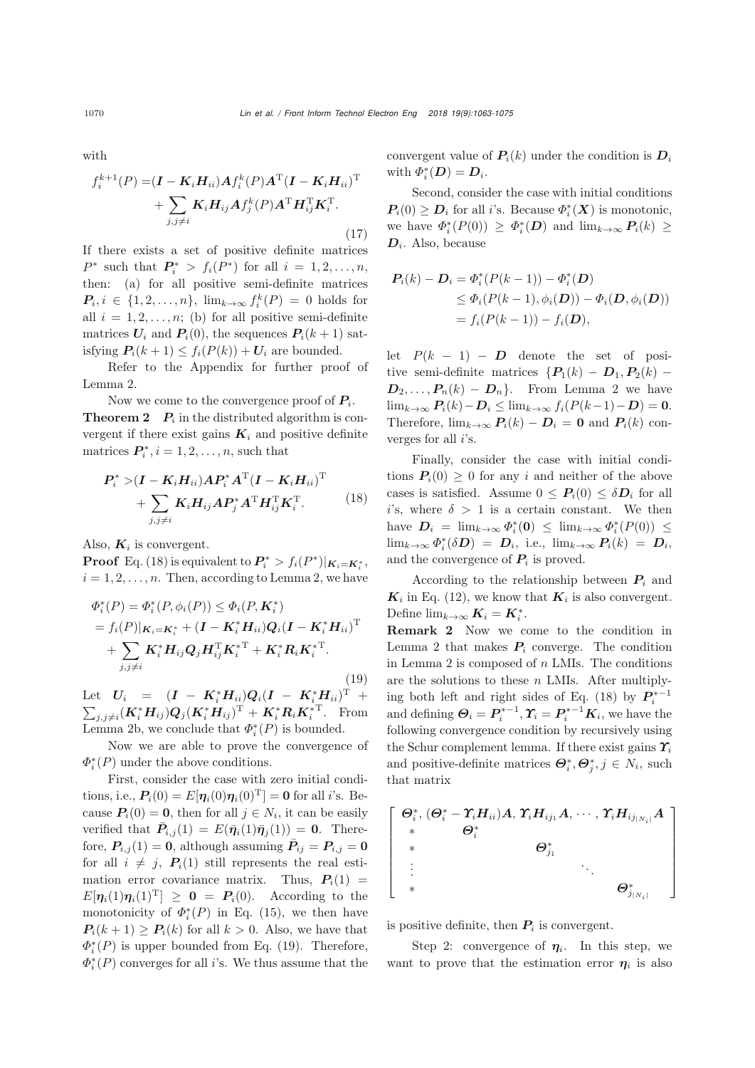with

$$
f_i^{k+1}(P) = (\mathbf{I} - \mathbf{K}_i \mathbf{H}_{ii}) \mathbf{A} f_i^k(P) \mathbf{A}^{\mathrm{T}} (\mathbf{I} - \mathbf{K}_i \mathbf{H}_{ii})^{\mathrm{T}} + \sum_{j,j \neq i} \mathbf{K}_i \mathbf{H}_{ij} \mathbf{A} f_j^k(P) \mathbf{A}^{\mathrm{T}} \mathbf{H}_{ij}^{\mathrm{T}} \mathbf{K}_i^{\mathrm{T}}.
$$
\n(17)

If there exists a set of positive definite matrices  $P^*$  such that  $P_i^* > f_i(P^*)$  for all  $i = 1, 2, \ldots, n$ , then: (a) for all positive semi-definite matrices  $P_i, i \in \{1, 2, ..., n\}, \lim_{k \to \infty} f_i^k(P) = 0$  holds for all  $i = 1, 2, \ldots, n$ ; (b) for all positive semi-definite matrices  $U_i$  and  $P_i(0)$ , the sequences  $P_i(k+1)$  satisfying  $P_i(k+1) \leq f_i(P(k)) + U_i$  are bounded.

Refer to the Appendix for further proof of Lemma [2.](#page-6-1)

Now we come to the convergence proof of  $P_i$ . **Theorem 2**  $P_i$  in the distributed algorithm is convergent if there exist gains  $K_i$  and positive definite matrices  $P_i^*, i = 1, 2, \ldots, n$ , such that

<span id="page-7-0"></span>
$$
P_i^* > (I - K_i H_{ii}) A P_i^* A^{\mathrm{T}} (I - K_i H_{ii})^{\mathrm{T}} + \sum_{j,j \neq i} K_i H_{ij} A P_j^* A^{\mathrm{T}} H_{ij}^{\mathrm{T}} K_i^{\mathrm{T}}.
$$
 (18)

Also,  $K_i$  is convergent.

**Proof** Eq. [\(18\)](#page-7-0) is equivalent to  $P_i^* > f_i(P^*)|_{\mathbf{K}_i = \mathbf{K}_i^*}$ ,  $i = 1, 2, \ldots, n$  $i = 1, 2, \ldots, n$  $i = 1, 2, \ldots, n$ . Then, according to Lemma 2, we have

<span id="page-7-1"></span>
$$
\Phi_i^*(P) = \Phi_i^*(P, \phi_i(P)) \le \Phi_i(P, \mathbf{K}_i^*)
$$
\n
$$
= f_i(P)|_{\mathbf{K}_i = \mathbf{K}_i^*} + (\mathbf{I} - \mathbf{K}_i^* \mathbf{H}_{ii})Q_i(\mathbf{I} - \mathbf{K}_i^* \mathbf{H}_{ii})^{\mathrm{T}}
$$
\n
$$
+ \sum_{j, j \ne i} \mathbf{K}_i^* \mathbf{H}_{ij} Q_j \mathbf{H}_{ij}^{\mathrm{T}} \mathbf{K}_i^* + \mathbf{K}_i^* \mathbf{R}_i \mathbf{K}_i^*^{\mathrm{T}}.
$$
\n(19)

 $\begin{array}{rcl} \textrm{Let} & \bm{U}_i & = & (\bm{I} ~-~ \bm{K}_{i}^{*} \bm{H}_{ii}) \bm{Q}_i (\bm{I} ~-~ \bm{K}_{i}^{*} \bm{H}_{ii})^{\text{T}} ~+ \end{array}$  $\sum_{j,j\neq i} (\boldsymbol{K}_i^*\boldsymbol{H}_{ij})\boldsymbol{Q}_j (\boldsymbol{K}_i^*\boldsymbol{H}_{ij})^{\text{T}} + \boldsymbol{K}_i^*\boldsymbol{R}_i\boldsymbol{K}_i^{*\text{T}}.$  From Lemma [2b](#page-6-1), we conclude that  $\Phi_i^*(P)$  is bounded.

Now we are able to prove the convergence of  $\Phi_i^*(P)$  under the above conditions.

First, consider the case with zero initial conditions, i.e.,  $P_i(0) = E[\eta_i(0)\eta_i(0)^T] = 0$  for all *i*'s. Because  $P_i(0) = 0$ , then for all  $j \in N_i$ , it can be easily verified that  $\bar{P}_{i,j}(1) = E(\bar{\eta}_i(1)\bar{\eta}_j(1)) = 0$ . Therefore,  $P_{i,j}(1) = 0$ , although assuming  $\overline{P}_{ij} = P_{i,j} = 0$ for all  $i \neq j$ ,  $P_i(1)$  still represents the real estimation error covariance matrix. Thus,  $P_i(1)$  =  $E[\eta_i(1)\eta_i(1)^T] \geq 0 = P_i(0)$ . According to the monotonicity of  $\Phi_i^*(P)$  in Eq. [\(15\)](#page-6-2), we then have  $P_i(k+1) \ge P_i(k)$  for all  $k > 0$ . Also, we have that  $\Phi_i^*(P)$  is upper bounded from Eq. [\(19\)](#page-7-1). Therefore,  $\Phi_i^*(P)$  converges for all *i*'s. We thus assume that the convergent value of  $P_i(k)$  under the condition is  $D_i$ with  $\Phi_i^*(D) = D_i$ .

Second, consider the case with initial conditions  $P_i(0) \ge D_i$  for all *i*'s. Because  $\Phi_i^*(\bm{X})$  is monotonic, we have  $\Phi_i^*(P(0)) \geq \Phi_i^*(D)$  and  $\lim_{k \to \infty} P_i(k) \geq$ *D*i. Also, because

$$
P_i(k) - D_i = \Phi_i^*(P(k-1)) - \Phi_i^*(D)
$$
  
\n
$$
\leq \Phi_i(P(k-1), \phi_i(D)) - \Phi_i(D, \phi_i(D))
$$
  
\n
$$
= f_i(P(k-1)) - f_i(D),
$$

let  $P(k - 1) - D$  denote the set of positive semi-definite matrices  $\{P_1(k) - D_1, P_2(k) D_2, \ldots, P_n(k) - D_n$ . From Lemma [2](#page-6-1) we have lim<sub>k→∞</sub>  $P_i(k) - D_i \leq \lim_{k \to \infty} f_i(P(k-1) - D) = 0.$ Therefore,  $\lim_{k\to\infty} P_i(k) - D_i = 0$  and  $P_i(k)$  converges for all  $i$ 's.

Finally, consider the case with initial conditions  $P_i(0) \geq 0$  for any i and neither of the above cases is satisfied. Assume  $0 \leq P_i(0) \leq \delta D_i$  for all i's, where  $\delta > 1$  is a certain constant. We then have  $\mathbf{D}_i = \lim_{k \to \infty} \Phi_i^*(0) \leq \lim_{k \to \infty} \Phi_i^*(P(0)) \leq$  $\lim_{k\to\infty} \Phi_i^*(\delta \mathbf{D}) = \mathbf{D}_i$ , i.e.,  $\lim_{k\to\infty} \mathbf{P}_i(k) = \mathbf{D}_i$ , and the convergence of  $P_i$  is proved.

According to the relationship between  $P_i$  and  $K_i$  in Eq. [\(12\)](#page-6-3), we know that  $K_i$  is also convergent. Define  $\lim_{k\to\infty} K_i = K_i^*$ .

Remark 2 Now we come to the condition in Lemma [2](#page-6-1) that makes  $P_i$  converge. The condition in Lemma [2](#page-6-1) is composed of  $n$  LMIs. The conditions are the solutions to these  $n$  LMIs. After multiply-ing both left and right sides of Eq. [\(18\)](#page-7-0) by  $P_i^{*-1}$ and defining  $\mathbf{\Theta}_i = \mathbf{P}_i^{*-1}, \mathbf{\Upsilon}_i = \mathbf{P}_i^{*-1} \mathbf{K}_i$ , we have the following convergence condition by recursively using the Schur complement lemma. If there exist gains *Υ*<sup>i</sup> and positive-definite matrices  $\boldsymbol{\Theta}_i^*, \boldsymbol{\Theta}_j^*, j \in N_i$ , such that matrix

$$
\left[ \begin{array}{c} \boldsymbol{\Theta}_i^*, (\boldsymbol{\Theta}_i^*-\boldsymbol{\Upsilon}_i\boldsymbol{H}_{ii})\boldsymbol{A},\,\boldsymbol{\Upsilon}_i\boldsymbol{H}_{ij_1}\boldsymbol{A},\,\cdots,\,\boldsymbol{\Upsilon}_i\boldsymbol{H}_{ij_{|N_i|}}\boldsymbol{A}\\ * & \boldsymbol{\Theta}_i^* \\ * & \boldsymbol{\Theta}_{j_1}^* \\ \vdots & & \ddots \\ * & & \boldsymbol{\Theta}_{j_{|N_i|}}^* \end{array} \right]
$$

is positive definite, then  $P_i$  is convergent.

Step 2: convergence of  $\eta_i$ . In this step, we want to prove that the estimation error  $\eta_i$  is also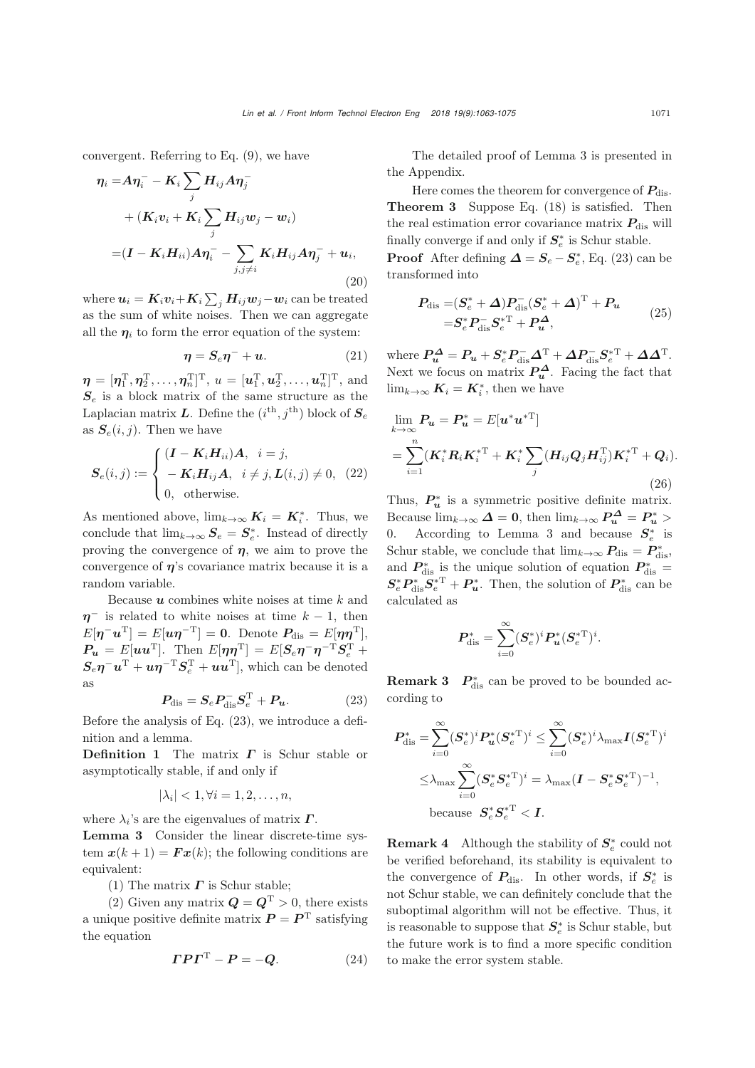convergent. Referring to Eq. [\(9\)](#page-5-3), we have

$$
\eta_i = A\eta_i^- - K_i \sum_j H_{ij} A\eta_j^-
$$
  
+  $(K_i v_i + K_i \sum_j H_{ij} w_j - w_i)$   
=  $(I - K_i H_{ii}) A\eta_i^- - \sum_{j,j \neq i} K_i H_{ij} A\eta_j^- + u_i,$  (20)

where  $\boldsymbol{u}_i = \boldsymbol{K}_i \boldsymbol{v}_i + \boldsymbol{K}_i \sum_i \boldsymbol{H}_{ij} \boldsymbol{w}_j - \boldsymbol{w}_i$  can be treated as the sum of white noises. Then we can aggregate all the  $\eta_i$  to form the error equation of the system:

$$
\eta = S_e \eta^- + u. \tag{21}
$$

 $\boldsymbol{\eta} \, = \, [\boldsymbol{\eta}_1^{\rm T}, \boldsymbol{\eta}_2^{\rm T}, \ldots, \boldsymbol{\eta}_n^{\rm T}]^{\rm T}, \ u = [\boldsymbol{u}_1^{\rm T}, \boldsymbol{u}_2^{\rm T}, \ldots, \boldsymbol{u}_n^{\rm T}]^{\rm T}, \ \mathrm{and}$ *S*<sup>e</sup> is a block matrix of the same structure as the Laplacian matrix *L*. Define the  $(i<sup>th</sup>, j<sup>th</sup>)$  block of  $S_e$ as  $S_e(i, j)$ . Then we have

$$
\mathbf{S}_{e}(i,j) := \begin{cases}\n(\mathbf{I} - \mathbf{K}_{i} \mathbf{H}_{ii}) \mathbf{A}, & i = j, \\
-\mathbf{K}_{i} \mathbf{H}_{ij} \mathbf{A}, & i \neq j, \mathbf{L}(i,j) \neq 0, \\
0, \text{ otherwise.}\n\end{cases} \tag{22}
$$

As mentioned above,  $\lim_{k\to\infty} K_i = K_i^*$ . Thus, we conclude that  $\lim_{k\to\infty} S_e = S_e^*$ . Instead of directly proving the convergence of  $\eta$ , we aim to prove the convergence of  $\eta$ 's covariance matrix because it is a random variable.

Because *u* combines white noises at time k and  $\eta^-$  is related to white noises at time  $k-1$ , then  $E[\eta^- u^{\mathrm{T}}] = E[u\eta^{-\mathrm{T}}] = 0.$  Denote  $P_{\mathrm{dis}} = E[\eta\eta^{\mathrm{T}}],$  $P_u = E[uu^{\mathrm{T}}]$ . Then  $E[\eta\eta^{\mathrm{T}}] = E[S_e\eta^-\eta^{\mathrm{T}}S_e^{\mathrm{T}} +$  $S_e \eta^- u^{\mathrm{T}} + u \eta^{-\mathrm{T}} S_e^{\mathrm{T}} + u u^{\mathrm{T}}$ , which can be denoted as

<span id="page-8-0"></span>
$$
P_{\rm dis} = S_e P_{\rm dis}^{-} S_e^{\rm T} + P_u. \tag{23}
$$

Before the analysis of Eq. [\(23\)](#page-8-0), we introduce a definition and a lemma.

Definition 1 The matrix *Γ* is Schur stable or asymptotically stable, if and only if

$$
|\lambda_i| < 1, \forall i = 1, 2, \dots, n,
$$

where  $\lambda_i$ 's are the eigenvalues of matrix  $\boldsymbol{\Gamma}$ .

<span id="page-8-1"></span>Lemma 3 Consider the linear discrete-time system  $x(k+1) = Fx(k)$ ; the following conditions are equivalent:

(1) The matrix  $\Gamma$  is Schur stable;

(2) Given any matrix  $\mathbf{Q} = \mathbf{Q}^{\mathrm{T}} > 0$ , there exists a unique positive definite matrix  $P = P<sup>T</sup>$  satisfying the equation

<span id="page-8-2"></span>
$$
\boldsymbol{\Gamma} \boldsymbol{P} \boldsymbol{\Gamma}^{\mathrm{T}} - \boldsymbol{P} = -\boldsymbol{Q}.\tag{24}
$$

The detailed proof of Lemma [3](#page-8-1) is presented in the Appendix.

Here comes the theorem for convergence of  $P_{\text{dis}}$ . Theorem 3 Suppose Eq. [\(18\)](#page-7-0) is satisfied. Then the real estimation error covariance matrix  $P_{\text{dis}}$  will finally converge if and only if  $S_e^*$  is Schur stable.

**Proof** After defining  $\mathbf{\Delta} = \mathbf{S}_e - \mathbf{S}_e^*$ , Eq. [\(23\)](#page-8-0) can be transformed into

$$
P_{\text{dis}} = (S_e^* + \Delta) P_{\text{dis}} (S_e^* + \Delta)^{\text{T}} + P_u
$$
  
= 
$$
S_e^* P_{\text{dis}} S_e^* \text{T} + P_u^{\Delta},
$$
 (25)

where  $P^{\mathbf{\Delta}}_{\bm{u}}=P_{\bm{u}}+S^*_{e}P_{\text{dis}}^- \mathbf{\Delta}^{\text{T}}+\mathbf{\Delta} P_{\text{dis}}^-S^*_{e}^{\text{T}}+\mathbf{\Delta}\mathbf{\Delta}^{\text{T}}.$ Next we focus on matrix  $P_u^{\Delta}$ . Facing the fact that  $\lim_{k\to\infty} K_i = \mathbf{K}_i^*$ , then we have

$$
\lim_{k \to \infty} \mathbf{P}_{\mathbf{u}} = \mathbf{P}_{\mathbf{u}}^* = E[\mathbf{u}^* \mathbf{u}^{*T}]
$$
\n
$$
= \sum_{i=1}^n (\mathbf{K}_i^* \mathbf{R}_i \mathbf{K}_i^{*T} + \mathbf{K}_i^* \sum_j (\mathbf{H}_{ij} \mathbf{Q}_j \mathbf{H}_{ij}^T) \mathbf{K}_i^{*T} + \mathbf{Q}_i).
$$
\n(26)

Thus,  $P_u^*$  is a symmetric positive definite matrix. Because  $\lim_{k\to\infty} \mathbf{\Delta} = 0$ , then  $\lim_{k\to\infty} P_u^{\mathbf{\Delta}} = P_u^*$ 0. According to Lemma [3](#page-8-1) and because  $S_e^*$  is Schur stable, we conclude that  $\lim_{k\to\infty} P_{\text{dis}} = P_{\text{dis}}^*$ , and  $P_{\text{dis}}^{*}$  is the unique solution of equation  $P_{\text{dis}}^{*} =$  $S_e^* P_{\text{dis}}^* S_e^{*T} + P_u^*$ . Then, the solution of  $P_{\text{dis}}^*$  can be calculated as

$$
\boldsymbol{P}_{\mathrm{dis}}^* = \sum_{i=0}^\infty (\boldsymbol{S}_e^*)^i \boldsymbol{P}_{\!\!\boldsymbol{u}}^* (\boldsymbol{S}_e^{*\mathrm{T}})^i.
$$

Remark 3  $P_{\text{dis}}^{*}$  can be proved to be bounded according to

$$
\begin{aligned} \boldsymbol{P_{\text{dis}}^*}=&\sum_{i=0}^\infty (\boldsymbol{S}_e^*)^i\boldsymbol{P_u^*}(\boldsymbol{S}_e^{*\mathrm{T}})^i\leq \sum_{i=0}^\infty (\boldsymbol{S}_e^*)^i\lambda_{\max}\boldsymbol{I}(\boldsymbol{S}_e^{*\mathrm{T}})^i\\ \leq &\lambda_{\max}\sum_{i=0}^\infty (\boldsymbol{S}_e^*\boldsymbol{S}_e^{*\mathrm{T}})^i=\lambda_{\max}(\boldsymbol{I}-\boldsymbol{S}_e^*\boldsymbol{S}_e^{*\mathrm{T}})^{-1},\\ &\text{because}~~ \boldsymbol{S}_e^*\boldsymbol{S}_e^{*\mathrm{T}}<\boldsymbol{I}. \end{aligned}
$$

**Remark 4** Although the stability of  $S_e^*$  could not be verified beforehand, its stability is equivalent to the convergence of  $P_{\text{dis}}$ . In other words, if  $S_e^*$  is not Schur stable, we can definitely conclude that the suboptimal algorithm will not be effective. Thus, it is reasonable to suppose that  $S_e^*$  is Schur stable, but the future work is to find a more specific condition to make the error system stable.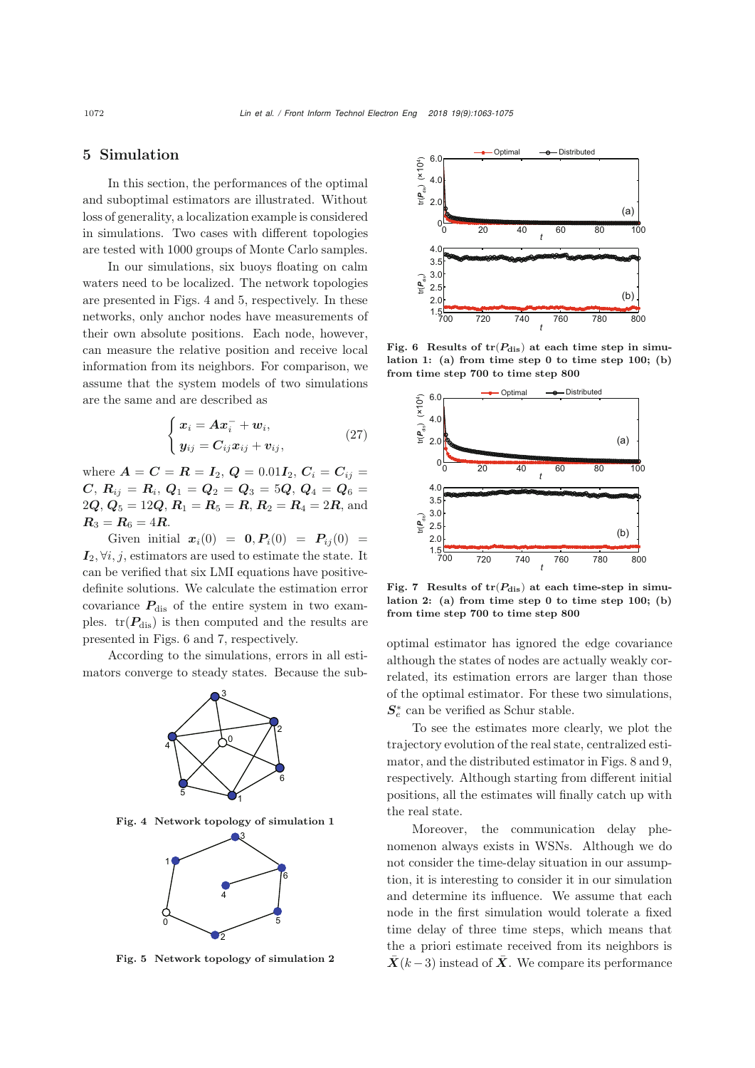## 5 Simulation

In this section, the performances of the optimal and suboptimal estimators are illustrated. Without loss of generality, a localization example is considered in simulations. Two cases with different topologies are tested with 1000 groups of Monte Carlo samples.

In our simulations, six buoys floating on calm waters need to be localized. The network topologies are presented in Figs. [4](#page-9-0) and [5,](#page-9-1) respectively. In these networks, only anchor nodes have measurements of their own absolute positions. Each node, however, can measure the relative position and receive local information from its neighbors. For comparison, we assume that the system models of two simulations are the same and are described as

$$
\begin{cases} \n x_i = A x_i^- + w_i, \\ \n y_{ij} = C_{ij} x_{ij} + v_{ij}, \n\end{cases} \n\tag{27}
$$

where  $A = C = R = I_2, Q = 0.01I_2, C_i = C_{ij}$  $C, R_{ij} = R_i, Q_1 = Q_2 = Q_3 = 5Q, Q_4 = Q_6 =$  $2Q, Q_5 = 12Q, R_1 = R_5 = R, R_2 = R_4 = 2R, \text{ and}$  $R_3 = R_6 = 4R$ .

Given initial  $x_i(0) = 0, P_i(0) = P_{ij}(0) = 0$  $I_2$ ,  $\forall i, j$ , estimators are used to estimate the state. It can be verified that six LMI equations have positivedefinite solutions. We calculate the estimation error covariance  $P_{\text{dis}}$  of the entire system in two examples.  $tr(P_{dis})$  is then computed and the results are presented in Figs. [6](#page-9-2) and [7,](#page-9-3) respectively.

According to the simulations, errors in all estimators converge to steady states. Because the sub-



Fig. 4 Network topology of simulation 1

<span id="page-9-0"></span>

<span id="page-9-1"></span>Fig. 5 Network topology of simulation 2



Fig. 6 Results of  $tr(P_{dis})$  at each time step in simulation 1: (a) from time step 0 to time step 100; (b) from time step 700 to time step 800

<span id="page-9-2"></span>

<span id="page-9-3"></span>Fig. 7 Results of  $tr(P_{dis})$  at each time-step in simulation 2: (a) from time step 0 to time step 100; (b) from time step 700 to time step 800

optimal estimator has ignored the edge covariance although the states of nodes are actually weakly correlated, its estimation errors are larger than those of the optimal estimator. For these two simulations,  $S_e^*$  can be verified as Schur stable.

To see the estimates more clearly, we plot the trajectory evolution of the real state, centralized estimator, and the distributed estimator in Figs. [8](#page-10-5) and [9,](#page-10-6) respectively. Although starting from different initial positions, all the estimates will finally catch up with the real state.

Moreover, the communication delay phenomenon always exists in WSNs. Although we do not consider the time-delay situation in our assumption, it is interesting to consider it in our simulation and determine its influence. We assume that each node in the first simulation would tolerate a fixed time delay of three time steps, which means that the a priori estimate received from its neighbors is  $\bar{\mathbf{X}}(k-3)$  instead of  $\bar{\mathbf{X}}$ . We compare its performance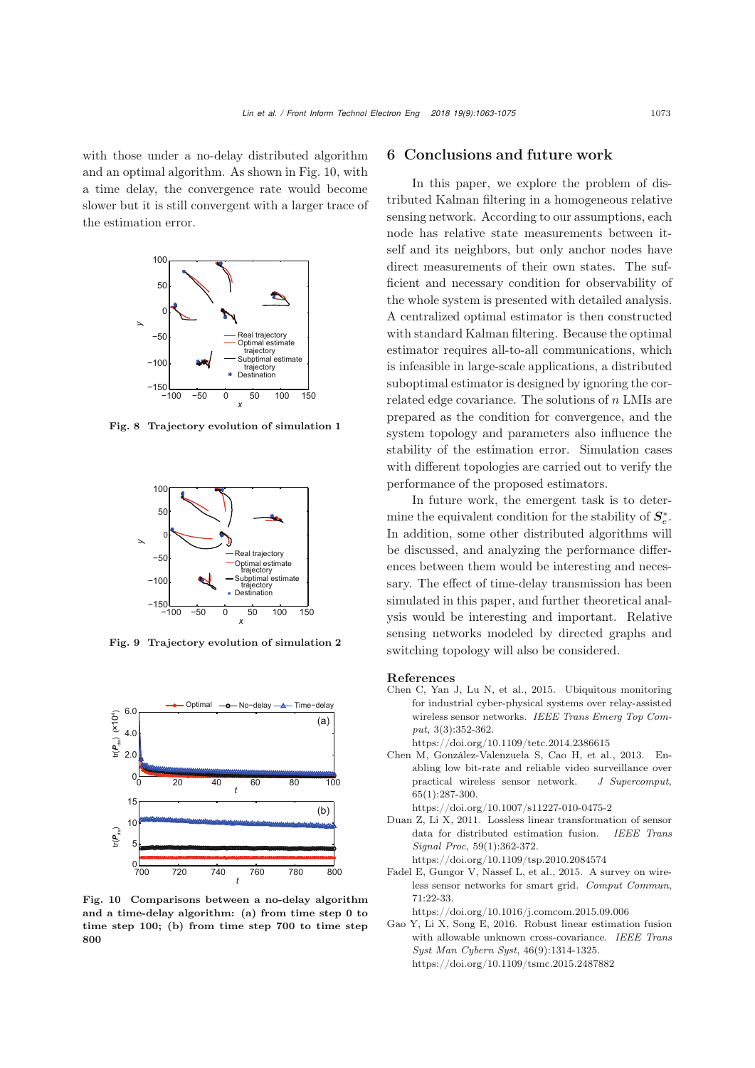with those under a no-delay distributed algorithm and an optimal algorithm. As shown in Fig. [10,](#page-10-7) with a time delay, the convergence rate would become slower but it is still convergent with a larger trace of the estimation error.



<span id="page-10-5"></span>Fig. 8 Trajectory evolution of simulation 1



<span id="page-10-6"></span>Fig. 9 Trajectory evolution of simulation 2



<span id="page-10-7"></span>Fig. 10 Comparisons between a no-delay algorithm and a time-delay algorithm: (a) from time step 0 to time step 100; (b) from time step 700 to time step 800

## 6 Conclusions and future work

In this paper, we explore the problem of distributed Kalman filtering in a homogeneous relative sensing network. According to our assumptions, each node has relative state measurements between itself and its neighbors, but only anchor nodes have direct measurements of their own states. The sufficient and necessary condition for observability of the whole system is presented with detailed analysis. A centralized optimal estimator is then constructed with standard Kalman filtering. Because the optimal estimator requires all-to-all communications, which is infeasible in large-scale applications, a distributed suboptimal estimator is designed by ignoring the correlated edge covariance. The solutions of n LMIs are prepared as the condition for convergence, and the system topology and parameters also influence the stability of the estimation error. Simulation cases with different topologies are carried out to verify the performance of the proposed estimators.

In future work, the emergent task is to determine the equivalent condition for the stability of  $S_e^*$ . In addition, some other distributed algorithms will be discussed, and analyzing the performance differences between them would be interesting and necessary. The effect of time-delay transmission has been simulated in this paper, and further theoretical analysis would be interesting and important. Relative sensing networks modeled by directed graphs and switching topology will also be considered.

#### References

<span id="page-10-2"></span>Chen C, Yan J, Lu N, et al., 2015. Ubiquitous monitoring for industrial cyber-physical systems over relay-assisted wireless sensor networks. *IEEE Trans Emerg Top Comput*, 3(3):352-362.

https://doi.org/10.1109/tetc.2014.2386615

<span id="page-10-0"></span>Chen M, González-Valenzuela S, Cao H, et al., 2013. Enabling low bit-rate and reliable video surveillance over practical wireless sensor network. *J Supercomput*, 65(1):287-300.

https://doi.org/10.1007/s11227-010-0475-2

<span id="page-10-4"></span>Duan Z, Li X, 2011. Lossless linear transformation of sensor data for distributed estimation fusion. *IEEE Trans Signal Proc*, 59(1):362-372.

https://doi.org/10.1109/tsp.2010.2084574

<span id="page-10-1"></span>Fadel E, Gungor V, Nassef L, et al., 2015. A survey on wireless sensor networks for smart grid. *Comput Commun*, 71:22-33.

https://doi.org/10.1016/j.comcom.2015.09.006

<span id="page-10-3"></span>Gao Y, Li X, Song E, 2016. Robust linear estimation fusion with allowable unknown cross-covariance. *IEEE Trans Syst Man Cybern Syst*, 46(9):1314-1325. https://doi.org/10.1109/tsmc.2015.2487882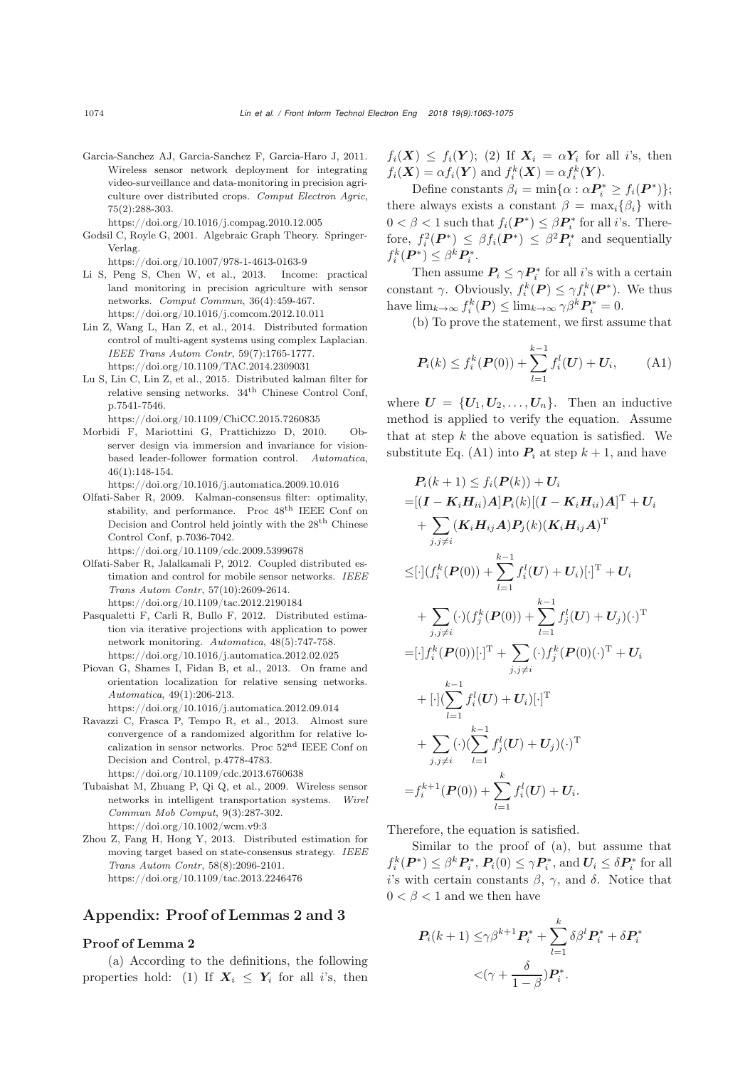- <span id="page-11-0"></span>Garcia-Sanchez AJ, Garcia-Sanchez F, Garcia-Haro J, 2011. Wireless sensor network deployment for integrating video-surveillance and data-monitoring in precision agriculture over distributed crops. *Comput Electron Agric*, 75(2):288-303.
	- https://doi.org/10.1016/j.compag.2010.12.005
- <span id="page-11-12"></span>Godsil C, Royle G, 2001. Algebraic Graph Theory. Springer-Verlag.

https://doi.org/10.1007/978-1-4613-0163-9

- <span id="page-11-1"></span>Li S, Peng S, Chen W, et al., 2013. Income: practical land monitoring in precision agriculture with sensor networks. *Comput Commun*, 36(4):459-467. https://doi.org/10.1016/j.comcom.2012.10.011
- <span id="page-11-3"></span>Lin Z, Wang L, Han Z, et al., 2014. Distributed formation control of multi-agent systems using complex Laplacian. *IEEE Trans Autom Contr*, 59(7):1765-1777. https://doi.org/10.1109/TAC.2014.2309031
- <span id="page-11-11"></span>Lu S, Lin C, Lin Z, et al., 2015. Distributed kalman filter for relative sensing networks. 34th Chinese Control Conf, p.7541-7546.

https://doi.org/10.1109/ChiCC.2015.7260835

- <span id="page-11-7"></span>Morbidi F, Mariottini G, Prattichizzo D, 2010. Observer design via immersion and invariance for visionbased leader-follower formation control. *Automatica*, 46(1):148-154.
- <span id="page-11-5"></span>https://doi.org/10.1016/j.automatica.2009.10.016 Olfati-Saber R, 2009. Kalman-consensus filter: optimality, stability, and performance. Proc  $48<sup>th</sup>$  IEEE Conf on Decision and Control held jointly with the 28<sup>th</sup> Chinese Control Conf, p.7036-7042. https://doi.org/10.1109/cdc.2009.5399678
- <span id="page-11-6"></span>Olfati-Saber R, Jalalkamali P, 2012. Coupled distributed estimation and control for mobile sensor networks. *IEEE Trans Autom Contr*, 57(10):2609-2614. https://doi.org/10.1109/tac.2012.2190184
- <span id="page-11-4"></span>Pasqualetti F, Carli R, Bullo F, 2012. Distributed estimation via iterative projections with application to power network monitoring. *Automatica*, 48(5):747-758. https://doi.org/10.1016/j.automatica.2012.02.025
- <span id="page-11-8"></span>Piovan G, Shames I, Fidan B, et al., 2013. On frame and orientation localization for relative sensing networks. *Automatica*, 49(1):206-213. https://doi.org/10.1016/j.automatica.2012.09.014
- <span id="page-11-9"></span>Ravazzi C, Frasca P, Tempo R, et al., 2013. Almost sure convergence of a randomized algorithm for relative localization in sensor networks. Proc 52nd IEEE Conf on Decision and Control, p.4778-4783.

https://doi.org/10.1109/cdc.2013.6760638

- <span id="page-11-2"></span>Tubaishat M, Zhuang P, Qi Q, et al., 2009. Wireless sensor networks in intelligent transportation systems. *Wirel Commun Mob Comput*, 9(3):287-302. https://doi.org/10.1002/wcm.v9:3
- <span id="page-11-10"></span>Zhou Z, Fang H, Hong Y, 2013. Distributed estimation for moving target based on state-consensus strategy. *IEEE Trans Autom Contr*, 58(8):2096-2101. https://doi.org/10.1109/tac.2013.2246476

## Appendix: Proof of Lemmas 2 and 3

### Proof of Lemma [2](#page-6-1)

(a) According to the definitions, the following properties hold: (1) If  $X_i \leq Y_i$  for all i's, then  $f_i(\boldsymbol{X}) \leq f_i(\boldsymbol{Y});$  (2) If  $\boldsymbol{X}_i = \alpha \boldsymbol{Y}_i$  for all *i*'s, then  $f_i(\boldsymbol{X}) = \alpha f_i(\boldsymbol{Y})$  and  $f_i^k(\boldsymbol{X}) = \alpha f_i^k(\boldsymbol{Y})$ .

Define constants  $\beta_i = \min\{\alpha : \alpha P_i^* \ge f_i(P^*)\};$ there always exists a constant  $\beta = \max_i {\beta_i}$  with  $0 < \beta < 1$  such that  $f_i(\boldsymbol{P}^*) \leq \beta \boldsymbol{P}_i^*$  for all *i*'s. Therefore,  $f_i^2(P^*) \leq \beta f_i(P^*) \leq \beta^2 P_i^*$  and sequentially  $f_i^k(P^*) \leq \beta^k P_i^*.$ 

Then assume  $P_i \leq \gamma P_i^*$  for all *i*'s with a certain constant  $\gamma$ . Obviously,  $f_i^k(P) \leq \gamma f_i^k(P^*)$ . We thus have  $\lim_{k\to\infty} f_i^k(P) \le \lim_{k\to\infty} \gamma \beta^k P_i^* = 0.$ 

(b) To prove the statement, we first assume that

<span id="page-11-13"></span>
$$
\mathbf{P}_i(k) \le f_i^k(\mathbf{P}(0)) + \sum_{l=1}^{k-1} f_i^l(\mathbf{U}) + \mathbf{U}_i,
$$
 (A1)

where  $U = \{U_1, U_2, \ldots, U_n\}$ . Then an inductive method is applied to verify the equation. Assume that at step  $k$  the above equation is satisfied. We substitute Eq. [\(A1\)](#page-11-13) into  $P_i$  at step  $k + 1$ , and have

$$
P_i(k+1) \le f_i(P(k)) + U_i
$$
  
\n= 
$$
[(I - K_i H_{ii})A]P_i(k)[(I - K_i H_{ii})A]^T + U_i
$$
  
\n+ 
$$
\sum_{j,j\neq i} (K_i H_{ij}A)P_j(k)(K_i H_{ij}A)^T
$$
  
\n
$$
\leq [ \cdot ] (f_i^k(P(0)) + \sum_{l=1}^{k-1} f_i^l(U) + U_i) [ \cdot ]^T + U_i
$$
  
\n+ 
$$
\sum_{j,j\neq i} (\cdot ) (f_j^k(P(0)) + \sum_{l=1}^{k-1} f_j^l(U) + U_j) (\cdot )^T
$$
  
\n= 
$$
[ \cdot ] f_i^k(P(0)) [ \cdot ]^T + \sum_{j,j\neq i} (\cdot ) f_j^k(P(0) (\cdot )^T + U_i
$$
  
\n+ 
$$
[ \cdot ] (\sum_{l=1}^{k-1} f_i^l(U) + U_i) [ \cdot ]^T
$$
  
\n+ 
$$
\sum_{j,j\neq i} (\cdot ) (\sum_{l=1}^{k-1} f_j^l(U) + U_j) (\cdot )^T
$$
  
\n= 
$$
f_i^{k+1}(P(0)) + \sum_{l=1}^{k} f_i^l(U) + U_i.
$$

Therefore, the equation is satisfied.

Similar to the proof of (a), but assume that  $f_i^k(P^*) \leq \beta^k P_i^*, P_i(0) \leq \gamma P_i^*$ , and  $U_i \leq \delta P_i^*$  for all i's with certain constants  $β$ ,  $γ$ , and  $δ$ . Notice that  $0 < \beta < 1$  and we then have

$$
\begin{aligned} \mathbf{P}_i(k+1) \leq & \gamma \beta^{k+1} \mathbf{P}_i^* + \sum_{l=1}^k \delta \beta^l \mathbf{P}_i^* + \delta \mathbf{P}_i^* \\ & & < (\gamma + \frac{\delta}{1-\beta}) \mathbf{P}_i^*. \end{aligned}
$$